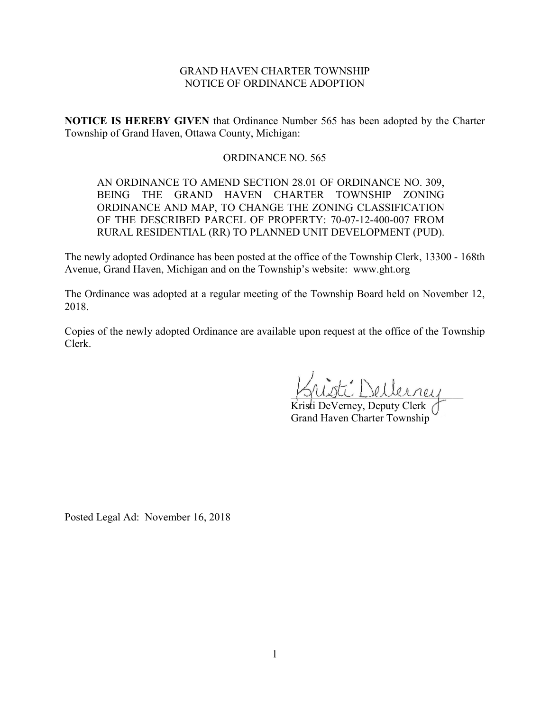# GRAND HAVEN CHARTER TOWNSHIP NOTICE OF ORDINANCE ADOPTION

**NOTICE IS HEREBY GIVEN** that Ordinance Number 565 has been adopted by the Charter Township of Grand Haven, Ottawa County, Michigan:

# ORDINANCE NO. 565

AN ORDINANCE TO AMEND SECTION 28.01 OF ORDINANCE NO. 309, BEING THE GRAND HAVEN CHARTER TOWNSHIP ZONING ORDINANCE AND MAP, TO CHANGE THE ZONING CLASSIFICATION OF THE DESCRIBED PARCEL OF PROPERTY: 70-07-12-400-007 FROM RURAL RESIDENTIAL (RR) TO PLANNED UNIT DEVELOPMENT (PUD).

The newly adopted Ordinance has been posted at the office of the Township Clerk, 13300 - 168th Avenue, Grand Haven, Michigan and on the Township's website: www.ght.org

The Ordinance was adopted at a regular meeting of the Township Board held on November 12, 2018.

Copies of the newly adopted Ordinance are available upon request at the office of the Township Clerk.

 $\vec{L}$  Dellerney

Kristi DeVerney, Deputy Clerk Grand Haven Charter Township

Posted Legal Ad: November 16, 2018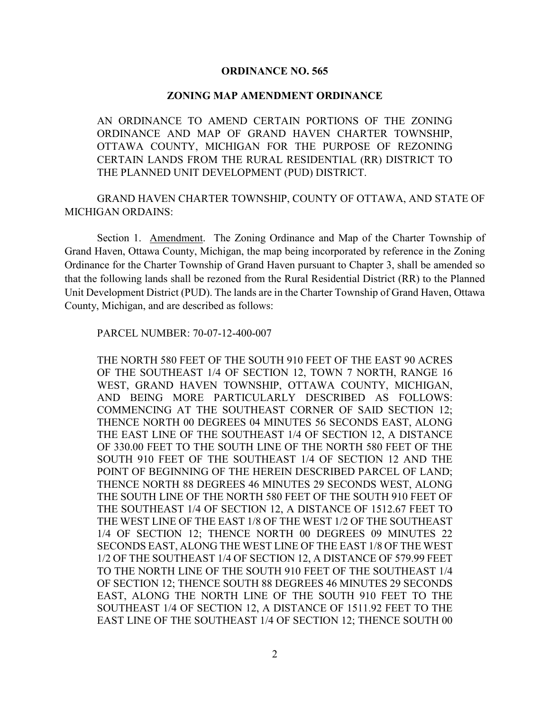### **ORDINANCE NO. 565**

#### **ZONING MAP AMENDMENT ORDINANCE**

AN ORDINANCE TO AMEND CERTAIN PORTIONS OF THE ZONING ORDINANCE AND MAP OF GRAND HAVEN CHARTER TOWNSHIP, OTTAWA COUNTY, MICHIGAN FOR THE PURPOSE OF REZONING CERTAIN LANDS FROM THE RURAL RESIDENTIAL (RR) DISTRICT TO THE PLANNED UNIT DEVELOPMENT (PUD) DISTRICT.

GRAND HAVEN CHARTER TOWNSHIP, COUNTY OF OTTAWA, AND STATE OF MICHIGAN ORDAINS:

Section 1. Amendment. The Zoning Ordinance and Map of the Charter Township of Grand Haven, Ottawa County, Michigan, the map being incorporated by reference in the Zoning Ordinance for the Charter Township of Grand Haven pursuant to Chapter 3, shall be amended so that the following lands shall be rezoned from the Rural Residential District (RR) to the Planned Unit Development District (PUD). The lands are in the Charter Township of Grand Haven, Ottawa County, Michigan, and are described as follows:

PARCEL NUMBER: 70-07-12-400-007

THE NORTH 580 FEET OF THE SOUTH 910 FEET OF THE EAST 90 ACRES OF THE SOUTHEAST 1/4 OF SECTION 12, TOWN 7 NORTH, RANGE 16 WEST, GRAND HAVEN TOWNSHIP, OTTAWA COUNTY, MICHIGAN, AND BEING MORE PARTICULARLY DESCRIBED AS FOLLOWS: COMMENCING AT THE SOUTHEAST CORNER OF SAID SECTION 12; THENCE NORTH 00 DEGREES 04 MINUTES 56 SECONDS EAST, ALONG THE EAST LINE OF THE SOUTHEAST 1/4 OF SECTION 12, A DISTANCE OF 330.00 FEET TO THE SOUTH LINE OF THE NORTH 580 FEET OF THE SOUTH 910 FEET OF THE SOUTHEAST 1/4 OF SECTION 12 AND THE POINT OF BEGINNING OF THE HEREIN DESCRIBED PARCEL OF LAND; THENCE NORTH 88 DEGREES 46 MINUTES 29 SECONDS WEST, ALONG THE SOUTH LINE OF THE NORTH 580 FEET OF THE SOUTH 910 FEET OF THE SOUTHEAST 1/4 OF SECTION 12, A DISTANCE OF 1512.67 FEET TO THE WEST LINE OF THE EAST 1/8 OF THE WEST 1/2 OF THE SOUTHEAST 1/4 OF SECTION 12; THENCE NORTH 00 DEGREES 09 MINUTES 22 SECONDS EAST, ALONG THE WEST LINE OF THE EAST 1/8 OF THE WEST 1/2 OF THE SOUTHEAST 1/4 OF SECTION 12, A DISTANCE OF 579.99 FEET TO THE NORTH LINE OF THE SOUTH 910 FEET OF THE SOUTHEAST 1/4 OF SECTION 12; THENCE SOUTH 88 DEGREES 46 MINUTES 29 SECONDS EAST, ALONG THE NORTH LINE OF THE SOUTH 910 FEET TO THE SOUTHEAST 1/4 OF SECTION 12, A DISTANCE OF 1511.92 FEET TO THE EAST LINE OF THE SOUTHEAST 1/4 OF SECTION 12; THENCE SOUTH 00